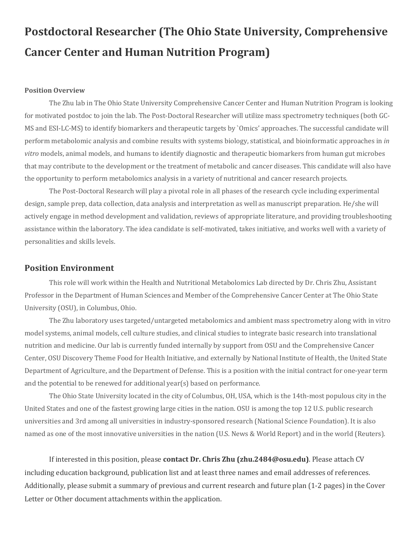# **Postdoctoral Researcher (The Ohio State University, Comprehensive Cancer Center and Human Nutrition Program)**

#### **Position Overview**

The Zhu lab in The Ohio State University Comprehensive Cancer Center and Human Nutrition Program is looking for motivated postdoc to join the lab. The Post-Doctoral Researcher will utilize mass spectrometry techniques (both GC-MS and ESI-LC-MS) to identify biomarkers and therapeutic targets by `Omics' approaches. The successful candidate will perform metabolomic analysis and combine results with systems biology, statistical, and bioinformatic approaches in *in vitro* models, animal models, and humans to identify diagnostic and therapeutic biomarkers from human gut microbes that may contribute to the development or the treatment of metabolic and cancer diseases. This candidate will also have the opportunity to perform metabolomics analysis in a variety of nutritional and cancer research projects.

The Post-Doctoral Research will play a pivotal role in all phases of the research cycle including experimental design, sample prep, data collection, data analysis and interpretation as well as manuscript preparation. He/she will actively engage in method development and validation, reviews of appropriate literature, and providing troubleshooting assistance within the laboratory. The idea candidate is self-motivated, takes initiative, and works well with a variety of personalities and skills levels.

### **Position Environment**

This role will work within the Health and Nutritional Metabolomics Lab directed by Dr. Chris Zhu, Assistant Professor in the Department of Human Sciences and Member of the Comprehensive Cancer Center at The Ohio State University (OSU), in Columbus, Ohio.

The Zhu laboratory uses targeted/untargeted metabolomics and ambient mass spectrometry along with in vitro model systems, animal models, cell culture studies, and clinical studies to integrate basic research into translational nutrition and medicine. Our lab is currently funded internally by support from OSU and the Comprehensive Cancer Center, OSU Discovery Theme Food for Health Initiative, and externally by National Institute of Health, the United State Department of Agriculture, and the Department of Defense. This is a position with the initial contract for one-year term and the potential to be renewed for additional year(s) based on performance.

The Ohio State University located in the city of Columbus, OH, USA, which is the 14th-most populous city in the United States and one of the fastest growing large cities in the nation. OSU is among the top 12 U.S. public research universities and 3rd among all universities in industry-sponsored research (National Science Foundation). It is also named as one of the most innovative universities in the nation (U.S. News & World Report) and in the world (Reuters).

If interested in this position, please **contact Dr. Chris Zhu (zhu.2484@osu.edu)**. Please attach CV including education background, publication list and at least three names and email addresses of references. Additionally, please submit a summary of previous and current research and future plan (1-2 pages) in the Cover Letter or Other document attachments within the application.